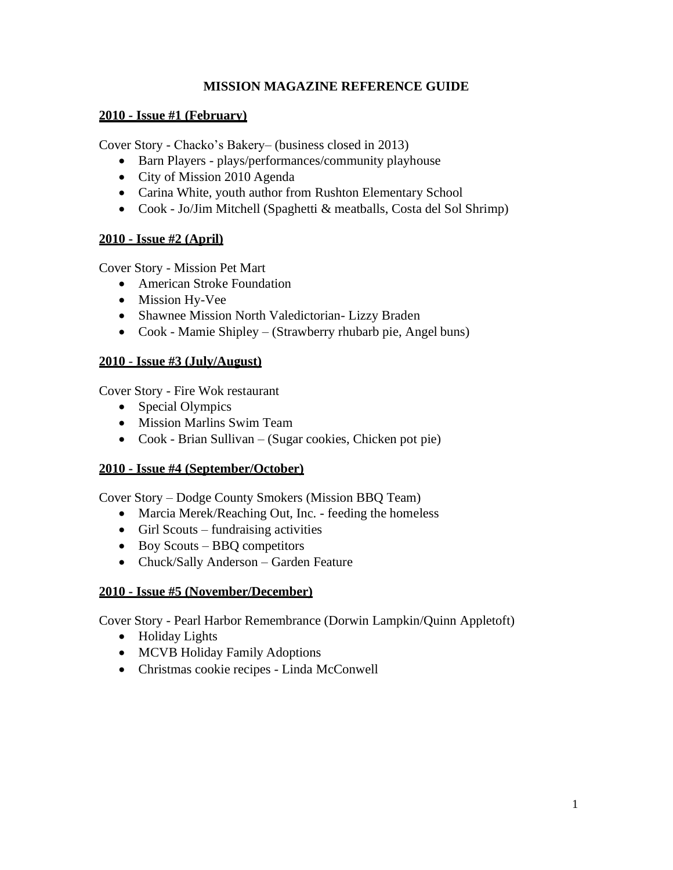### **MISSION MAGAZINE REFERENCE GUIDE**

#### **2010 - Issue #1 (February)**

Cover Story - Chacko's Bakery– (business closed in 2013)

- Barn Players plays/performances/community playhouse
- City of Mission 2010 Agenda
- Carina White, youth author from Rushton Elementary School
- Cook Jo/Jim Mitchell (Spaghetti & meatballs, Costa del Sol Shrimp)

### **2010 - Issue #2 (April)**

Cover Story - Mission Pet Mart

- American Stroke Foundation
- Mission Hy-Vee
- Shawnee Mission North Valedictorian- Lizzy Braden
- Cook Mamie Shipley (Strawberry rhubarb pie, Angel buns)

### **2010** - **Issue #3 (July/August)**

Cover Story - Fire Wok restaurant

- Special Olympics
- Mission Marlins Swim Team
- Cook Brian Sullivan (Sugar cookies, Chicken pot pie)

### **2010 - Issue #4 (September/October)**

Cover Story – Dodge County Smokers (Mission BBQ Team)

- Marcia Merek/Reaching Out, Inc. feeding the homeless
- Girl Scouts fundraising activities
- Boy Scouts BBQ competitors
- Chuck/Sally Anderson Garden Feature

### **2010 - Issue #5 (November/December)**

Cover Story - Pearl Harbor Remembrance (Dorwin Lampkin/Quinn Appletoft)

- Holiday Lights
- MCVB Holiday Family Adoptions
- Christmas cookie recipes Linda McConwell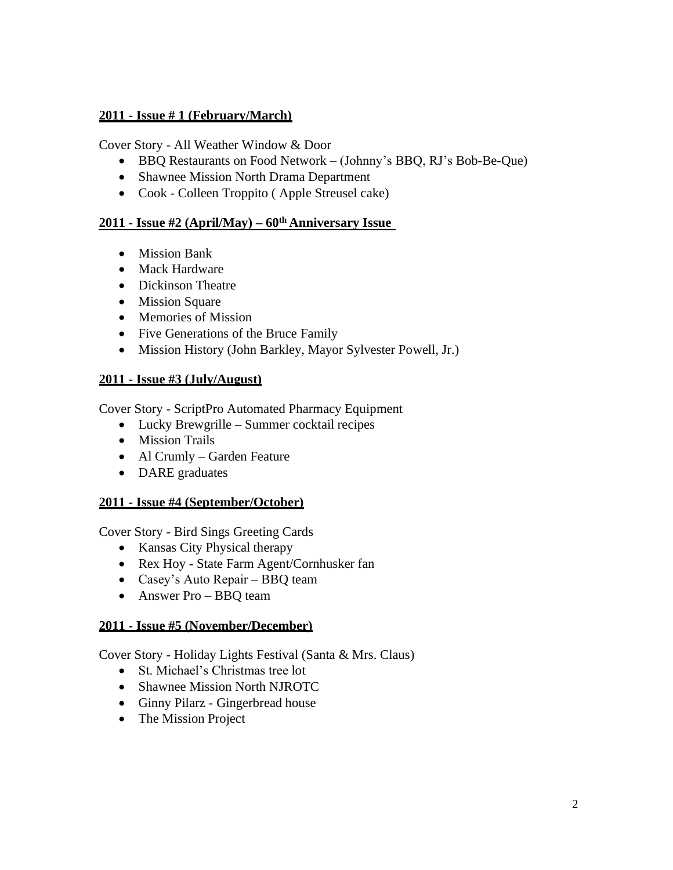Cover Story - All Weather Window & Door

- BBQ Restaurants on Food Network (Johnny's BBQ, RJ's Bob-Be-Que)
- Shawnee Mission North Drama Department
- Cook Colleen Troppito ( Apple Streusel cake)

## **2011 - Issue #2 (April/May) – 60th Anniversary Issue**

- Mission Bank
- Mack Hardware
- Dickinson Theatre
- Mission Square
- Memories of Mission
- Five Generations of the Bruce Family
- Mission History (John Barkley, Mayor Sylvester Powell, Jr.)

### **2011 - Issue #3 (July/August)**

Cover Story - ScriptPro Automated Pharmacy Equipment

- Lucky Brewgrille Summer cocktail recipes
- Mission Trails
- Al Crumly Garden Feature
- DARE graduates

#### **2011 - Issue #4 (September/October)**

Cover Story - Bird Sings Greeting Cards

- Kansas City Physical therapy
- Rex Hoy State Farm Agent/Cornhusker fan
- Casey's Auto Repair BBQ team
- Answer Pro BBQ team

### **2011 - Issue #5 (November/December)**

Cover Story - Holiday Lights Festival (Santa & Mrs. Claus)

- St. Michael's Christmas tree lot
- Shawnee Mission North NJROTC
- Ginny Pilarz Gingerbread house
- The Mission Project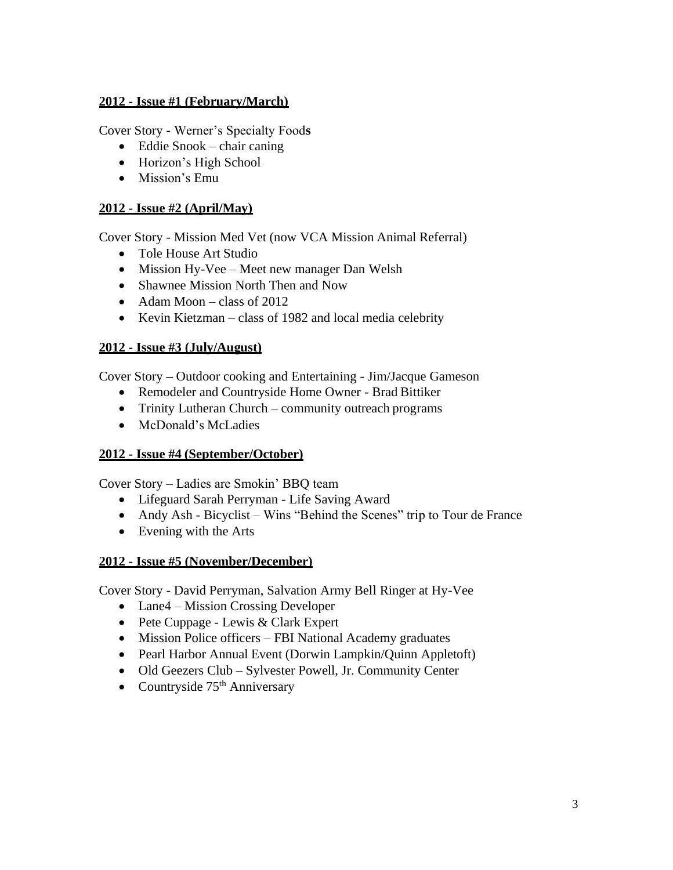Cover Story **-** Werner's Specialty Food**s**

- Eddie Snook chair caning
- Horizon's High School
- Mission's Emu

## **2012 - Issue #2 (April/May)**

Cover Story - Mission Med Vet (now VCA Mission Animal Referral)

- Tole House Art Studio
- Mission Hy-Vee Meet new manager Dan Welsh
- Shawnee Mission North Then and Now
- Adam Moon class of 2012
- Kevin Kietzman class of 1982 and local media celebrity

## **2012 - Issue #3 (July/August)**

Cover Story **–** Outdoor cooking and Entertaining - Jim/Jacque Gameson

- Remodeler and Countryside Home Owner Brad Bittiker
- Trinity Lutheran Church community outreach programs
- McDonald's McLadies

### **2012 - Issue #4 (September/October)**

Cover Story – Ladies are Smokin' BBQ team

- Lifeguard Sarah Perryman Life Saving Award
- Andy Ash Bicyclist Wins "Behind the Scenes" trip to Tour de France
- Evening with the Arts

### **2012 - Issue #5 (November/December)**

Cover Story - David Perryman, Salvation Army Bell Ringer at Hy-Vee

- Lane4 Mission Crossing Developer
- Pete Cuppage Lewis & Clark Expert
- Mission Police officers FBI National Academy graduates
- Pearl Harbor Annual Event (Dorwin Lampkin/Quinn Appletoft)
- Old Geezers Club Sylvester Powell, Jr. Community Center
- Countryside 75<sup>th</sup> Anniversary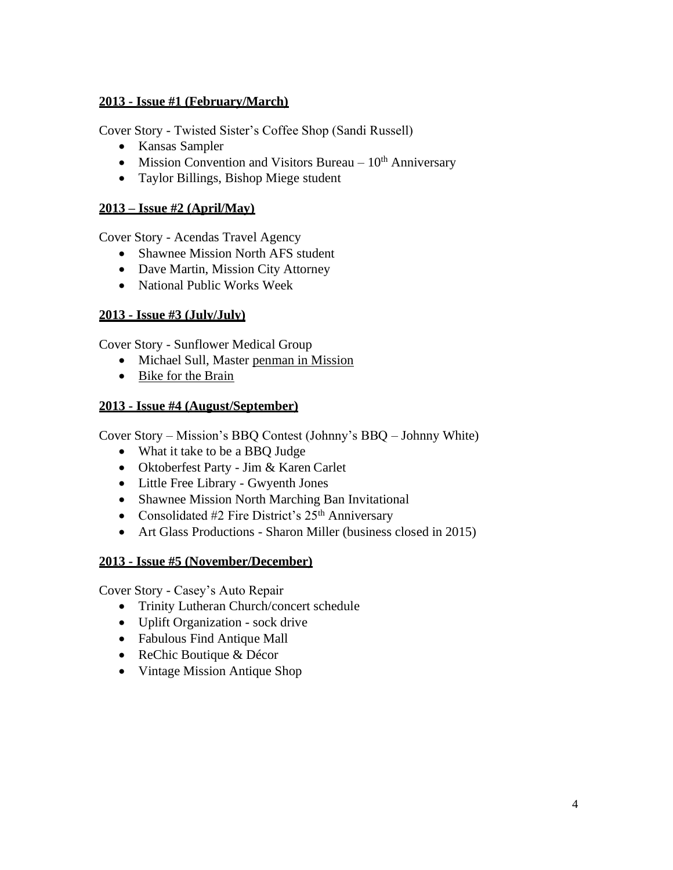Cover Story - Twisted Sister's Coffee Shop (Sandi Russell)

- Kansas Sampler
- Mission Convention and Visitors Bureau  $10<sup>th</sup>$  Anniversary
- Taylor Billings, Bishop Miege student

## **2013 – Issue #2 (April/May)**

Cover Story - Acendas Travel Agency

- Shawnee Mission North AFS student
- Dave Martin, Mission City Attorney
- National Public Works Week

## **2013 - Issue #3 (July/July)**

Cover Story - Sunflower Medical Group

- Michael Sull, Master penman in Mission
- Bike for the Brain

### **2013 - Issue #4 (August/September)**

Cover Story – Mission's BBQ Contest (Johnny's BBQ – Johnny White)

- What it take to be a BBQ Judge
- Oktoberfest Party Jim & Karen Carlet
- Little Free Library Gwyenth Jones
- Shawnee Mission North Marching Ban Invitational
- Consolidated #2 Fire District's  $25<sup>th</sup>$  Anniversary
- Art Glass Productions Sharon Miller (business closed in 2015)

### **2013 - Issue #5 (November/December)**

Cover Story - Casey's Auto Repair

- Trinity Lutheran Church/concert schedule
- Uplift Organization sock drive
- Fabulous Find Antique Mall
- ReChic Boutique & Décor
- Vintage Mission Antique Shop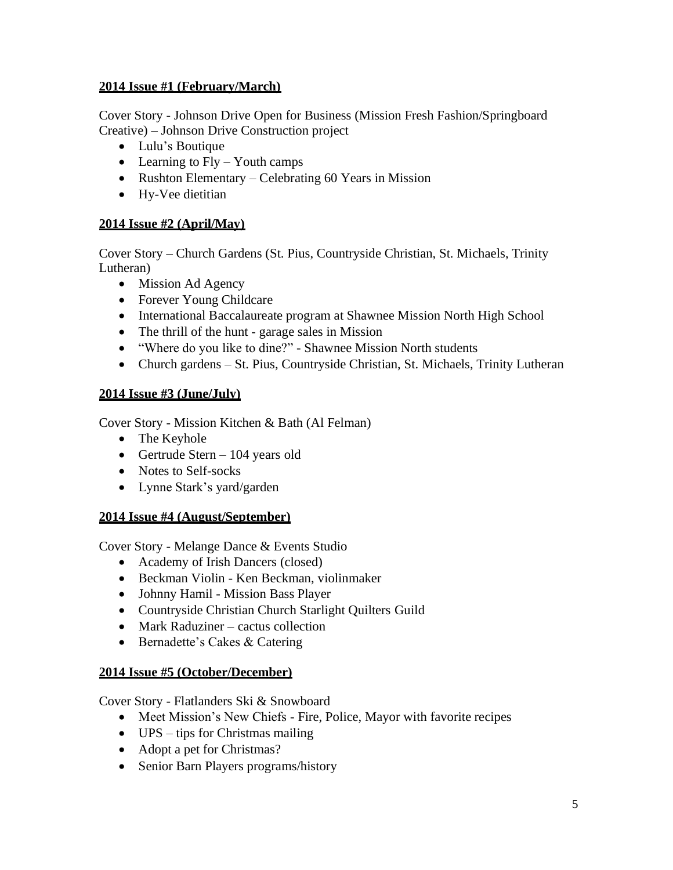Cover Story - Johnson Drive Open for Business (Mission Fresh Fashion/Springboard Creative) – Johnson Drive Construction project

- Lulu's Boutique
- Learning to Fly Youth camps
- Rushton Elementary Celebrating 60 Years in Mission
- Hy-Vee dietitian

### **2014 Issue #2 (April/May)**

Cover Story – Church Gardens (St. Pius, Countryside Christian, St. Michaels, Trinity Lutheran)

- Mission Ad Agency
- Forever Young Childcare
- International Baccalaureate program at Shawnee Mission North High School
- The thrill of the hunt garage sales in Mission
- "Where do you like to dine?" Shawnee Mission North students
- Church gardens St. Pius, Countryside Christian, St. Michaels, Trinity Lutheran

## **2014 Issue #3 (June/July)**

Cover Story - Mission Kitchen & Bath (Al Felman)

- The Keyhole
- Gertrude Stern 104 years old
- Notes to Self-socks
- Lynne Stark's yard/garden

### **2014 Issue #4 (August/September)**

Cover Story - Melange Dance & Events Studio

- Academy of Irish Dancers (closed)
- Beckman Violin Ken Beckman, violinmaker
- Johnny Hamil Mission Bass Player
- Countryside Christian Church Starlight Quilters Guild
- Mark Raduziner cactus collection
- Bernadette's Cakes & Catering

### **2014 Issue #5 (October/December)**

Cover Story - Flatlanders Ski & Snowboard

- Meet Mission's New Chiefs Fire, Police, Mayor with favorite recipes
- UPS tips for Christmas mailing
- Adopt a pet for Christmas?
- Senior Barn Players programs/history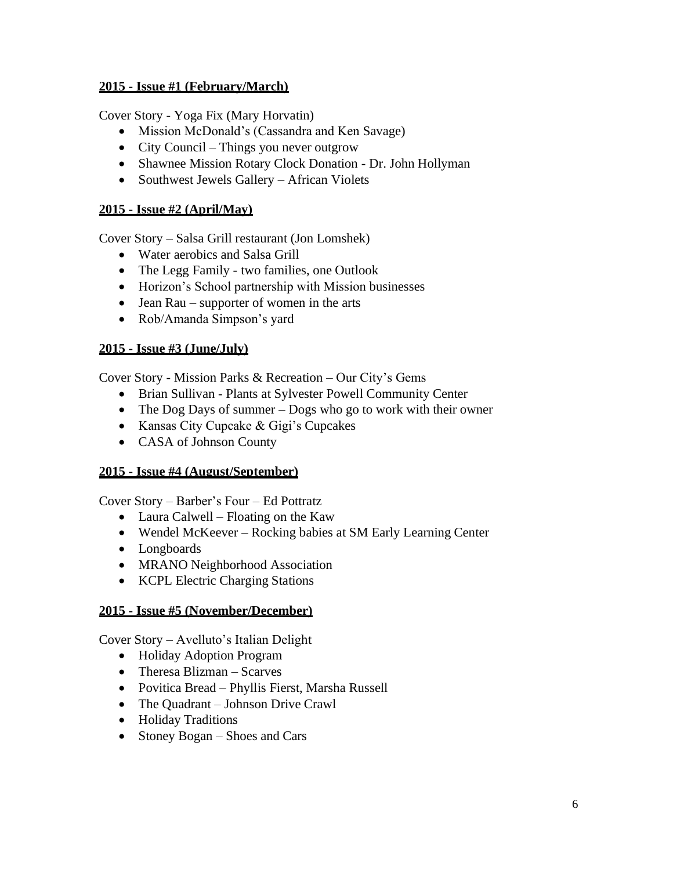Cover Story - Yoga Fix (Mary Horvatin)

- Mission McDonald's (Cassandra and Ken Savage)
- City Council Things you never outgrow
- Shawnee Mission Rotary Clock Donation Dr. John Hollyman
- Southwest Jewels Gallery African Violets

#### **2015 - Issue #2 (April/May)**

Cover Story – Salsa Grill restaurant (Jon Lomshek)

- Water aerobics and Salsa Grill
- The Legg Family two families, one Outlook
- Horizon's School partnership with Mission businesses
- Jean Rau supporter of women in the arts
- Rob/Amanda Simpson's yard

### **2015 - Issue #3 (June/July)**

Cover Story - Mission Parks & Recreation – Our City's Gems

- Brian Sullivan Plants at Sylvester Powell Community Center
- The Dog Days of summer Dogs who go to work with their owner
- Kansas City Cupcake & Gigi's Cupcakes
- CASA of Johnson County

### **2015 - Issue #4 (August/September)**

Cover Story – Barber's Four – Ed Pottratz

- Laura Calwell Floating on the Kaw
- Wendel McKeever Rocking babies at SM Early Learning Center
- Longboards
- MRANO Neighborhood Association
- KCPL Electric Charging Stations

### **2015 - Issue #5 (November/December)**

Cover Story – Avelluto's Italian Delight

- Holiday Adoption Program
- Theresa Blizman Scarves
- Povitica Bread Phyllis Fierst, Marsha Russell
- The Quadrant Johnson Drive Crawl
- Holiday Traditions
- Stoney Bogan Shoes and Cars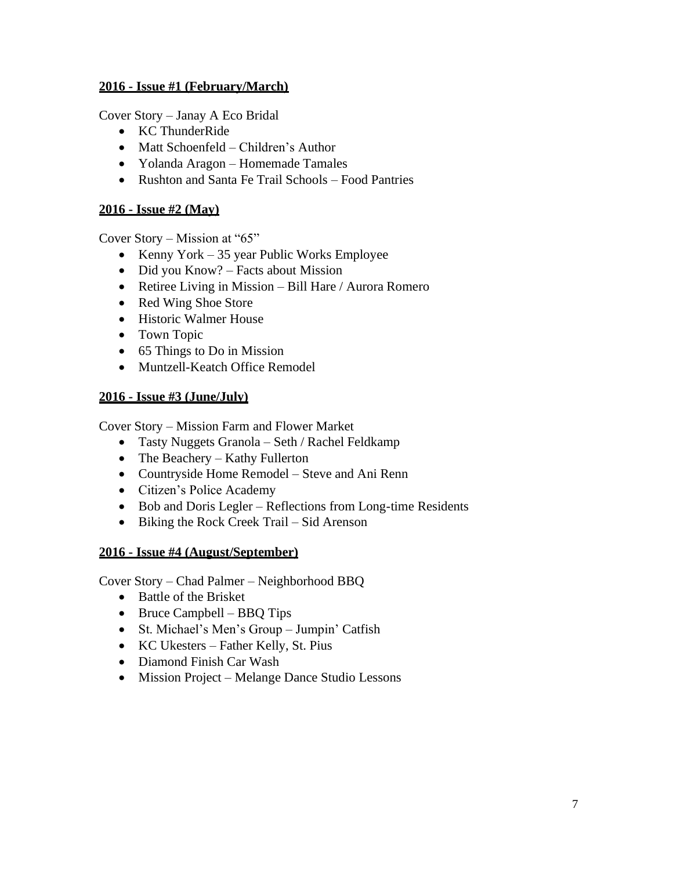Cover Story – Janay A Eco Bridal

- KC ThunderRide
- Matt Schoenfeld Children's Author
- Yolanda Aragon Homemade Tamales
- Rushton and Santa Fe Trail Schools Food Pantries

#### **2016 - Issue #2 (May)**

Cover Story – Mission at "65"

- Kenny York 35 year Public Works Employee
- Did you Know? Facts about Mission
- Retiree Living in Mission Bill Hare / Aurora Romero
- Red Wing Shoe Store
- Historic Walmer House
- Town Topic
- 65 Things to Do in Mission
- Muntzell-Keatch Office Remodel

### **2016 - Issue #3 (June/July)**

Cover Story – Mission Farm and Flower Market

- Tasty Nuggets Granola Seth / Rachel Feldkamp
- The Beachery Kathy Fullerton
- Countryside Home Remodel Steve and Ani Renn
- Citizen's Police Academy
- Bob and Doris Legler Reflections from Long-time Residents
- Biking the Rock Creek Trail Sid Arenson

### **2016 - Issue #4 (August/September)**

Cover Story – Chad Palmer – Neighborhood BBQ

- Battle of the Brisket
- Bruce Campbell BBQ Tips
- St. Michael's Men's Group Jumpin' Catfish
- KC Ukesters Father Kelly, St. Pius
- Diamond Finish Car Wash
- Mission Project Melange Dance Studio Lessons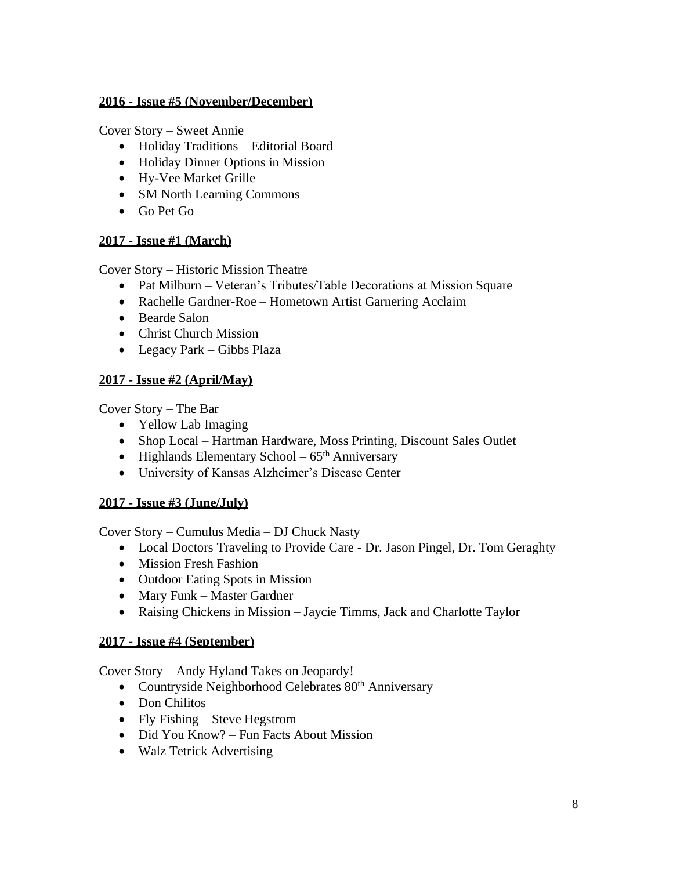### **2016 - Issue #5 (November/December)**

Cover Story – Sweet Annie

- Holiday Traditions Editorial Board
- Holiday Dinner Options in Mission
- Hy-Vee Market Grille
- SM North Learning Commons
- Go Pet Go

# **2017 - Issue #1 (March)**

Cover Story – Historic Mission Theatre

- Pat Milburn Veteran's Tributes/Table Decorations at Mission Square
- Rachelle Gardner-Roe Hometown Artist Garnering Acclaim
- Bearde Salon
- Christ Church Mission
- Legacy Park Gibbs Plaza

# **2017 - Issue #2 (April/May)**

Cover Story – The Bar

- Yellow Lab Imaging
- Shop Local Hartman Hardware, Moss Printing, Discount Sales Outlet
- Highlands Elementary School  $65<sup>th</sup>$  Anniversary
- University of Kansas Alzheimer's Disease Center

# **2017 - Issue #3 (June/July)**

Cover Story – Cumulus Media – DJ Chuck Nasty

- Local Doctors Traveling to Provide Care Dr. Jason Pingel, Dr. Tom Geraghty
- Mission Fresh Fashion
- Outdoor Eating Spots in Mission
- Mary Funk Master Gardner
- Raising Chickens in Mission Jaycie Timms, Jack and Charlotte Taylor

# **2017 - Issue #4 (September)**

Cover Story – Andy Hyland Takes on Jeopardy!

- Countryside Neighborhood Celebrates 80<sup>th</sup> Anniversary
- Don Chilitos
- Fly Fishing Steve Hegstrom
- Did You Know? Fun Facts About Mission
- Walz Tetrick Advertising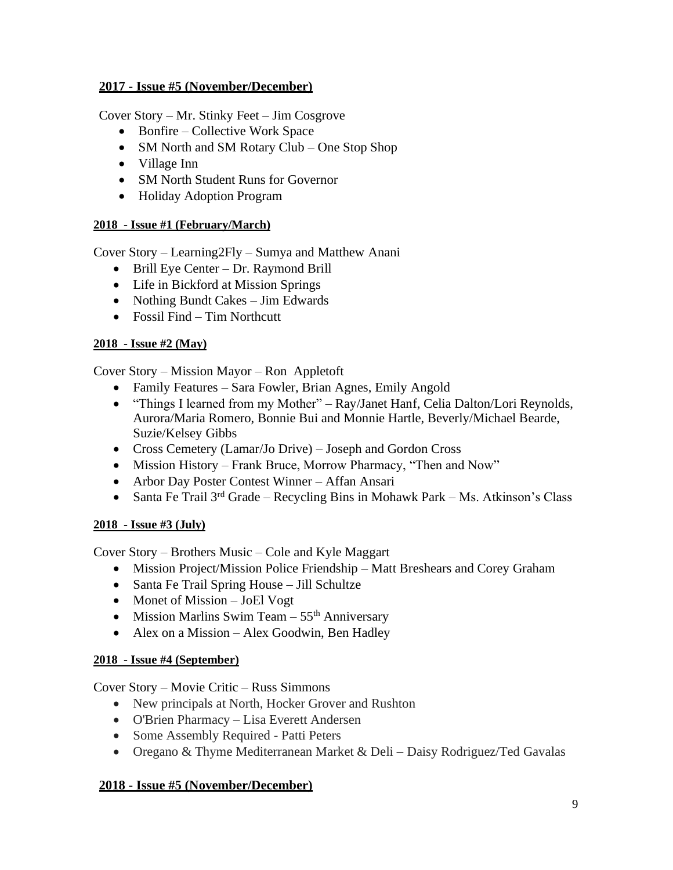## **2017 - Issue #5 (November/December)**

Cover Story – Mr. Stinky Feet – Jim Cosgrove

- Bonfire Collective Work Space
- SM North and SM Rotary Club One Stop Shop
- Village Inn
- SM North Student Runs for Governor
- Holiday Adoption Program

# **2018 - Issue #1 (February/March)**

Cover Story – Learning2Fly – Sumya and Matthew Anani

- Brill Eye Center Dr. Raymond Brill
- Life in Bickford at Mission Springs
- Nothing Bundt Cakes Jim Edwards
- Fossil Find Tim Northcutt

# **2018 - Issue #2 (May)**

Cover Story – Mission Mayor – Ron Appletoft

- Family Features Sara Fowler, Brian Agnes, Emily Angold
- "Things I learned from my Mother" Ray/Janet Hanf, Celia Dalton/Lori Reynolds, Aurora/Maria Romero, Bonnie Bui and Monnie Hartle, Beverly/Michael Bearde, Suzie/Kelsey Gibbs
- Cross Cemetery (Lamar/Jo Drive) Joseph and Gordon Cross
- Mission History Frank Bruce, Morrow Pharmacy, "Then and Now"
- Arbor Day Poster Contest Winner Affan Ansari
- Santa Fe Trail  $3^{rd}$  Grade Recycling Bins in Mohawk Park Ms. Atkinson's Class

# **2018 - Issue #3 (July)**

Cover Story – Brothers Music – Cole and Kyle Maggart

- Mission Project/Mission Police Friendship Matt Breshears and Corey Graham
- Santa Fe Trail Spring House Jill Schultze
- Monet of Mission JoEl Vogt
- Mission Marlins Swim Team  $55<sup>th</sup>$  Anniversary
- Alex on a Mission Alex Goodwin, Ben Hadley

# **2018 - Issue #4 (September)**

Cover Story – Movie Critic – Russ Simmons

- New principals at North, Hocker Grover and Rushton
- O'Brien Pharmacy Lisa Everett Andersen
- Some Assembly Required Patti Peters
- Oregano & Thyme Mediterranean Market & Deli Daisy Rodriguez/Ted Gavalas

# **2018 - Issue #5 (November/December)**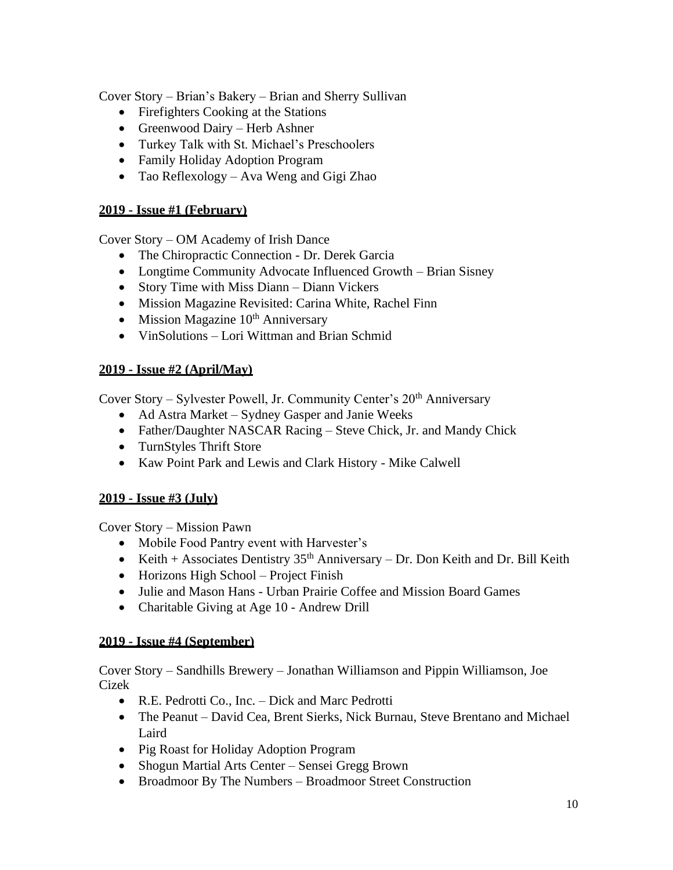Cover Story – Brian's Bakery – Brian and Sherry Sullivan

- Firefighters Cooking at the Stations
- Greenwood Dairy Herb Ashner
- Turkey Talk with St. Michael's Preschoolers
- Family Holiday Adoption Program
- Tao Reflexology Ava Weng and Gigi Zhao

## **2019 - Issue #1 (February)**

Cover Story – OM Academy of Irish Dance

- The Chiropractic Connection Dr. Derek Garcia
- Longtime Community Advocate Influenced Growth Brian Sisney
- Story Time with Miss Diann Diann Vickers
- Mission Magazine Revisited: Carina White, Rachel Finn
- Mission Magazine  $10<sup>th</sup>$  Anniversary
- VinSolutions Lori Wittman and Brian Schmid

## **2019 - Issue #2 (April/May)**

Cover Story – Sylvester Powell, Jr. Community Center's  $20<sup>th</sup>$  Anniversary

- Ad Astra Market Sydney Gasper and Janie Weeks
- Father/Daughter NASCAR Racing Steve Chick, Jr. and Mandy Chick
- TurnStyles Thrift Store
- Kaw Point Park and Lewis and Clark History Mike Calwell

### **2019 - Issue #3 (July)**

Cover Story – Mission Pawn

- Mobile Food Pantry event with Harvester's
- Keith + Associates Dentistry  $35<sup>th</sup>$  Anniversary Dr. Don Keith and Dr. Bill Keith
- Horizons High School Project Finish
- Julie and Mason Hans Urban Prairie Coffee and Mission Board Games
- Charitable Giving at Age 10 Andrew Drill

### **2019 - Issue #4 (September)**

Cover Story – Sandhills Brewery – Jonathan Williamson and Pippin Williamson, Joe Cizek

- R.E. Pedrotti Co., Inc. Dick and Marc Pedrotti
- The Peanut David Cea, Brent Sierks, Nick Burnau, Steve Brentano and Michael Laird
- Pig Roast for Holiday Adoption Program
- Shogun Martial Arts Center Sensei Gregg Brown
- Broadmoor By The Numbers Broadmoor Street Construction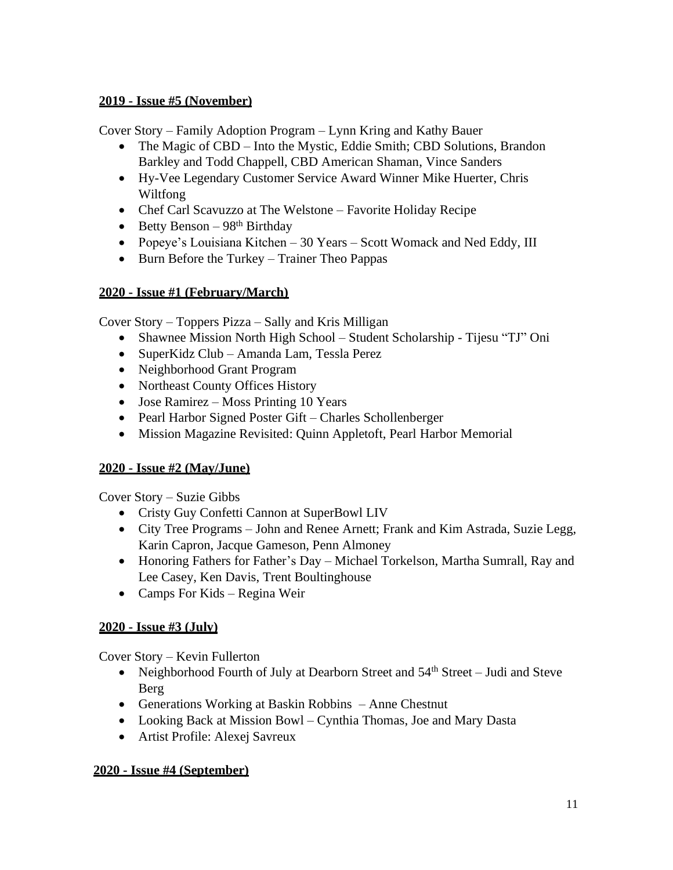## **2019 - Issue #5 (November)**

Cover Story – Family Adoption Program – Lynn Kring and Kathy Bauer

- The Magic of CBD Into the Mystic, Eddie Smith; CBD Solutions, Brandon Barkley and Todd Chappell, CBD American Shaman, Vince Sanders
- Hy-Vee Legendary Customer Service Award Winner Mike Huerter, Chris Wiltfong
- Chef Carl Scavuzzo at The Welstone Favorite Holiday Recipe
- Betty Benson  $98<sup>th</sup> Birthday$
- Popeye's Louisiana Kitchen 30 Years Scott Womack and Ned Eddy, III
- Burn Before the Turkey Trainer Theo Pappas

## **2020 - Issue #1 (February/March)**

Cover Story – Toppers Pizza – Sally and Kris Milligan

- Shawnee Mission North High School Student Scholarship Tijesu "TJ" Oni
- SuperKidz Club Amanda Lam, Tessla Perez
- Neighborhood Grant Program
- Northeast County Offices History
- Jose Ramirez Moss Printing 10 Years
- Pearl Harbor Signed Poster Gift Charles Schollenberger
- Mission Magazine Revisited: Quinn Appletoft, Pearl Harbor Memorial

### **2020 - Issue #2 (May/June)**

Cover Story – Suzie Gibbs

- Cristy Guy Confetti Cannon at SuperBowl LIV
- City Tree Programs John and Renee Arnett; Frank and Kim Astrada, Suzie Legg, Karin Capron, Jacque Gameson, Penn Almoney
- Honoring Fathers for Father's Day Michael Torkelson, Martha Sumrall, Ray and Lee Casey, Ken Davis, Trent Boultinghouse
- Camps For Kids Regina Weir

### **2020 - Issue #3 (July)**

Cover Story – Kevin Fullerton

- Neighborhood Fourth of July at Dearborn Street and  $54<sup>th</sup>$  Street Judi and Steve Berg
- Generations Working at Baskin Robbins Anne Chestnut
- Looking Back at Mission Bowl Cynthia Thomas, Joe and Mary Dasta
- Artist Profile: Alexej Savreux

### **2020 - Issue #4 (September)**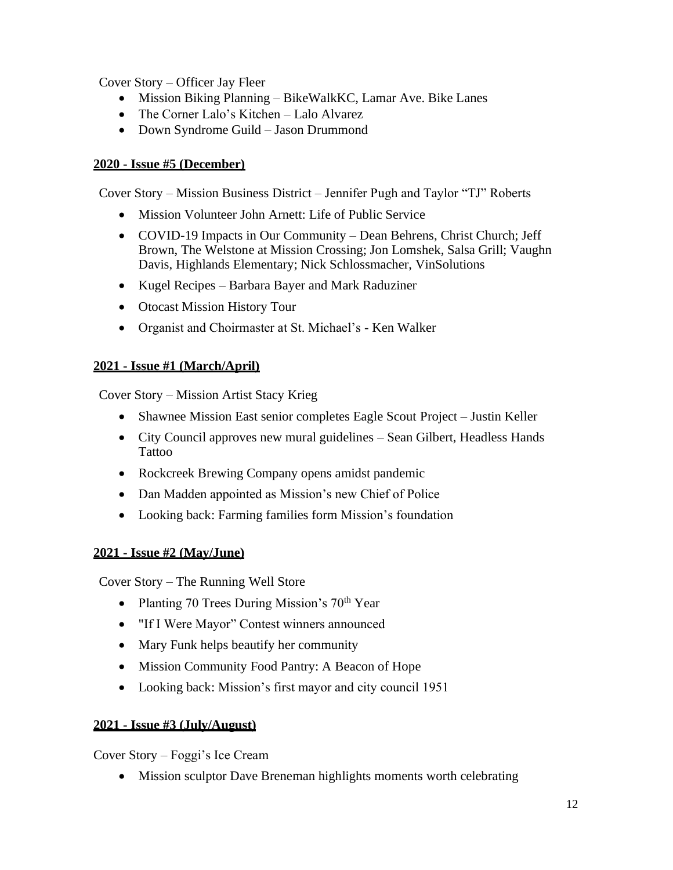Cover Story – Officer Jay Fleer

- Mission Biking Planning BikeWalkKC, Lamar Ave. Bike Lanes
- The Corner Lalo's Kitchen Lalo Alvarez
- Down Syndrome Guild Jason Drummond

#### **2020 - Issue #5 (December)**

Cover Story – Mission Business District – Jennifer Pugh and Taylor "TJ" Roberts

- Mission Volunteer John Arnett: Life of Public Service
- COVID-19 Impacts in Our Community Dean Behrens, Christ Church; Jeff Brown, The Welstone at Mission Crossing; Jon Lomshek, Salsa Grill; Vaughn Davis, Highlands Elementary; Nick Schlossmacher, VinSolutions
- Kugel Recipes Barbara Bayer and Mark Raduziner
- Otocast Mission History Tour
- Organist and Choirmaster at St. Michael's Ken Walker

### **2021 - Issue #1 (March/April)**

Cover Story – Mission Artist Stacy Krieg

- Shawnee Mission East senior completes Eagle Scout Project Justin Keller
- City Council approves new mural guidelines Sean Gilbert, Headless Hands Tattoo
- Rockcreek Brewing Company opens amidst pandemic
- Dan Madden appointed as Mission's new Chief of Police
- Looking back: Farming families form Mission's foundation

#### **2021 - Issue #2 (May/June)**

Cover Story – The Running Well Store

- Planting 70 Trees During Mission's 70<sup>th</sup> Year
- "If I Were Mayor" Contest winners announced
- Mary Funk helps beautify her community
- Mission Community Food Pantry: A Beacon of Hope
- Looking back: Mission's first mayor and city council 1951

#### **2021 - Issue #3 (July/August)**

Cover Story – Foggi's Ice Cream

• Mission sculptor Dave Breneman highlights moments worth celebrating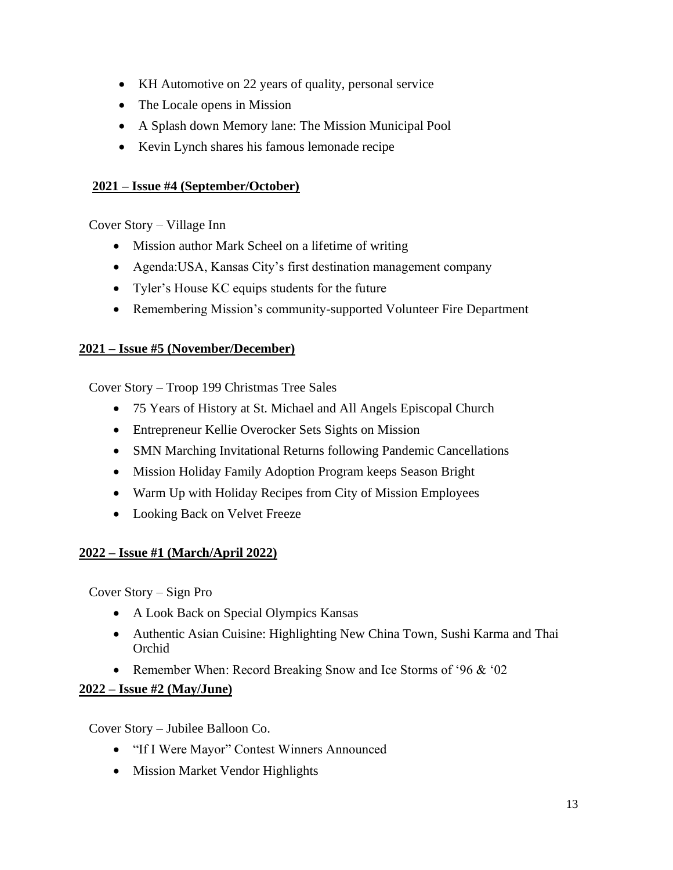- KH Automotive on 22 years of quality, personal service
- The Locale opens in Mission
- A Splash down Memory lane: The Mission Municipal Pool
- Kevin Lynch shares his famous lemonade recipe

#### **2021 – Issue #4 (September/October)**

Cover Story – Village Inn

- Mission author Mark Scheel on a lifetime of writing
- Agenda:USA, Kansas City's first destination management company
- Tyler's House KC equips students for the future
- Remembering Mission's community-supported Volunteer Fire Department

### **2021 – Issue #5 (November/December)**

Cover Story – Troop 199 Christmas Tree Sales

- 75 Years of History at St. Michael and All Angels Episcopal Church
- Entrepreneur Kellie Overocker Sets Sights on Mission
- SMN Marching Invitational Returns following Pandemic Cancellations
- Mission Holiday Family Adoption Program keeps Season Bright
- Warm Up with Holiday Recipes from City of Mission Employees
- Looking Back on Velvet Freeze

### **2022 – Issue #1 (March/April 2022)**

Cover Story – Sign Pro

- A Look Back on Special Olympics Kansas
- Authentic Asian Cuisine: Highlighting New China Town, Sushi Karma and Thai Orchid
- Remember When: Record Breaking Snow and Ice Storms of '96 & '02

### **2022 – Issue #2 (May/June)**

Cover Story – Jubilee Balloon Co.

- "If I Were Mayor" Contest Winners Announced
- Mission Market Vendor Highlights